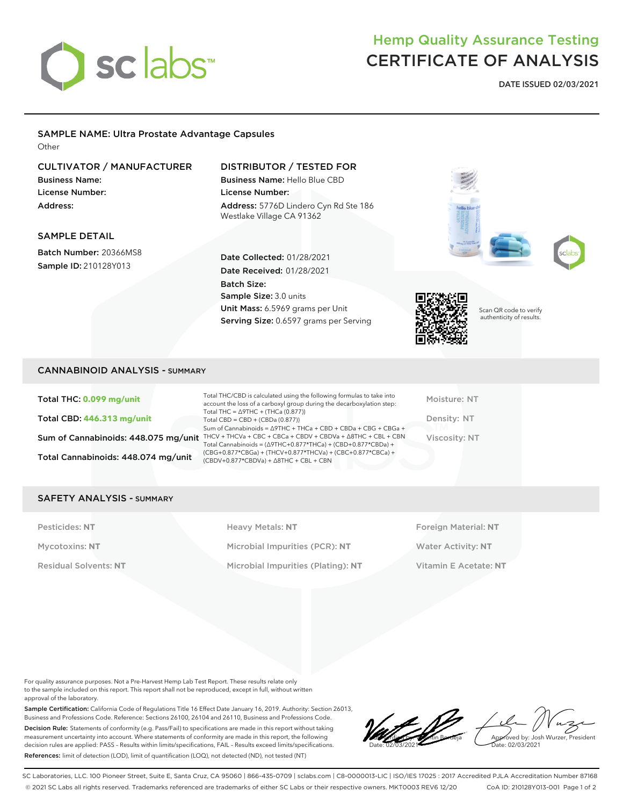

## Hemp Quality Assurance Testing CERTIFICATE OF ANALYSIS

**DATE ISSUED 02/03/2021**

## SAMPLE NAME: Ultra Prostate Advantage Capsules

**Other** 

### CULTIVATOR / MANUFACTURER

Business Name: License Number: Address:

#### DISTRIBUTOR / TESTED FOR

Date Collected: 01/28/2021 Date Received: 01/28/2021

Unit Mass: 6.5969 grams per Unit Serving Size: 0.6597 grams per Serving

Sample Size: 3.0 units

Batch Size:

Business Name: Hello Blue CBD License Number: Address: 5776D Lindero Cyn Rd Ste 186 Westlake Village CA 91362



Scan QR code to verify authenticity of results.

## SAMPLE DETAIL

Batch Number: 20366MS8 Sample ID: 210128Y013

#### CANNABINOID ANALYSIS - SUMMARY

Total THC: **0.099 mg/unit** Total CBD: **446.313 mg/unit** Total Cannabinoids: 448.074 mg/unit

Sum of Cannabinoids: 448.075 mg/unit THCV + THCVa + CBC + CBCa + CBDV + CBDVa +  $\triangle$ 8THC + CBL + CBN Total THC/CBD is calculated using the following formulas to take into account the loss of a carboxyl group during the decarboxylation step: Total THC = ∆9THC + (THCa (0.877)) Total CBD = CBD + (CBDa (0.877)) Sum of Cannabinoids = ∆9THC + THCa + CBD + CBDa + CBG + CBGa + Total Cannabinoids = (∆9THC+0.877\*THCa) + (CBD+0.877\*CBDa) + (CBG+0.877\*CBGa) + (THCV+0.877\*THCVa) + (CBC+0.877\*CBCa) + (CBDV+0.877\*CBDVa) + ∆8THC + CBL + CBN

Moisture: NT Density: NT Viscosity: NT

#### SAFETY ANALYSIS - SUMMARY

Pesticides: NT **All Accords** Heavy Metals: NT **Foreign Material: NT** Pesticides: NT Mycotoxins: **NT** Microbial Impurities (PCR): **NT** Water Activity: **NT** Residual Solvents: **NT** Microbial Impurities (Plating): **NT** Vitamin E Acetate: **NT**

For quality assurance purposes. Not a Pre-Harvest Hemp Lab Test Report. These results relate only to the sample included on this report. This report shall not be reproduced, except in full, without written approval of the laboratory.

Sample Certification: California Code of Regulations Title 16 Effect Date January 16, 2019. Authority: Section 26013, Business and Professions Code. Reference: Sections 26100, 26104 and 26110, Business and Professions Code. Decision Rule: Statements of conformity (e.g. Pass/Fail) to specifications are made in this report without taking measurement uncertainty into account. Where statements of conformity are made in this report, the following decision rules are applied: PASS – Results within limits/specifications, FAIL – Results exceed limits/specifications. References: limit of detection (LOD), limit of quantification (LOQ), not detected (ND), not tested (NT)

LQC verified by: Valentin Berdeja Date: 02/03/2021 Approved by: Josh Wurzer, President ate: 02/03/2021

SC Laboratories, LLC. 100 Pioneer Street, Suite E, Santa Cruz, CA 95060 | 866-435-0709 | sclabs.com | C8-0000013-LIC | ISO/IES 17025 : 2017 Accredited PJLA Accreditation Number 87168 © 2021 SC Labs all rights reserved. Trademarks referenced are trademarks of either SC Labs or their respective owners. MKT0003 REV6 12/20 CoA ID: 210128Y013-001 Page 1 of 2